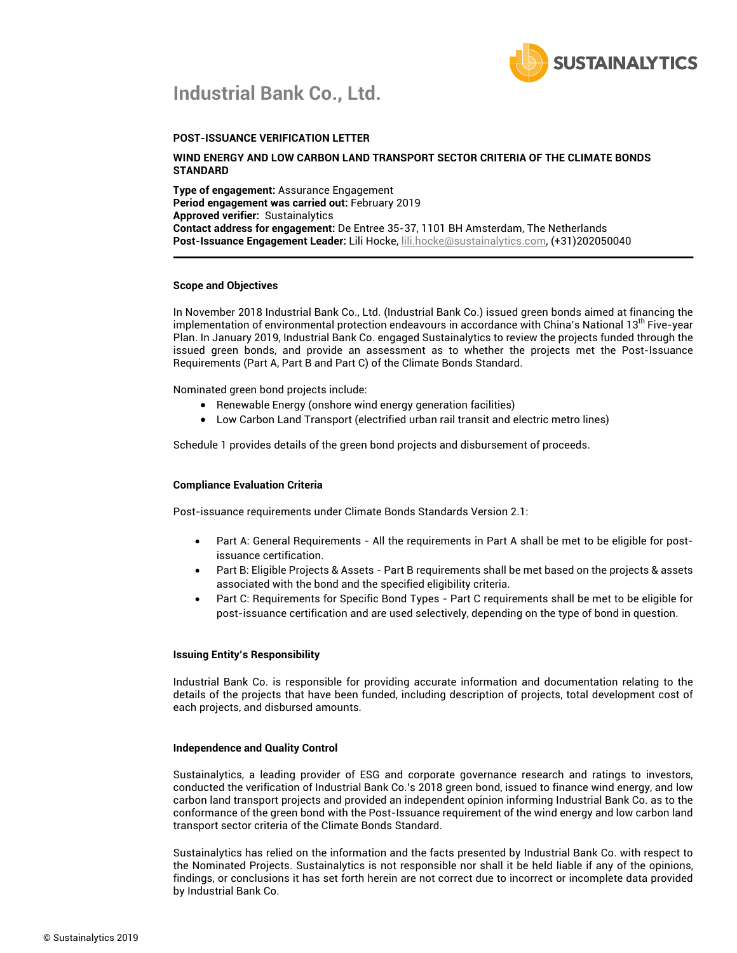

## **Industrial Bank Co., Ltd.**

### **POST-ISSUANCE VERIFICATION LETTER**

#### **WIND ENERGY AND LOW CARBON LAND TRANSPORT SECTOR CRITERIA OF THE CLIMATE BONDS STANDARD**

**Type of engagement:** Assurance Engagement **Period engagement was carried out:** February 2019 **Approved verifier:** Sustainalytics **Contact address for engagement:** De Entree 35-37, 1101 BH Amsterdam, The Netherlands **Post-Issuance Engagement Leader:** Lili Hocke, lili.hocke@sustainalytics.com, (+31)202050040

#### **Scope and Objectives**

In November 2018 Industrial Bank Co., Ltd. (Industrial Bank Co.) issued green bonds aimed at financing the implementation of environmental protection endeavours in accordance with China's National 13<sup>th</sup> Five-year Plan. In January 2019, Industrial Bank Co. engaged Sustainalytics to review the projects funded through the issued green bonds, and provide an assessment as to whether the projects met the Post-Issuance Requirements (Part A, Part B and Part C) of the Climate Bonds Standard.

Nominated green bond projects include:

- Renewable Energy (onshore wind energy generation facilities)
- Low Carbon Land Transport (electrified urban rail transit and electric metro lines)

Schedule 1 provides details of the green bond projects and disbursement of proceeds.

#### **Compliance Evaluation Criteria**

Post-issuance requirements under Climate Bonds Standards Version 2.1:

- Part A: General Requirements All the requirements in Part A shall be met to be eligible for postissuance certification.
- Part B: Eligible Projects & Assets Part B requirements shall be met based on the projects & assets associated with the bond and the specified eligibility criteria.
- Part C: Requirements for Specific Bond Types Part C requirements shall be met to be eligible for post-issuance certification and are used selectively, depending on the type of bond in question.

#### **Issuing Entity's Responsibility**

Industrial Bank Co. is responsible for providing accurate information and documentation relating to the details of the projects that have been funded, including description of projects, total development cost of each projects, and disbursed amounts.

#### **Independence and Quality Control**

Sustainalytics, a leading provider of ESG and corporate governance research and ratings to investors, conducted the verification of Industrial Bank Co.'s 2018 green bond, issued to finance wind energy, and low carbon land transport projects and provided an independent opinion informing Industrial Bank Co. as to the conformance of the green bond with the Post-Issuance requirement of the wind energy and low carbon land transport sector criteria of the Climate Bonds Standard.

Sustainalytics has relied on the information and the facts presented by Industrial Bank Co. with respect to the Nominated Projects. Sustainalytics is not responsible nor shall it be held liable if any of the opinions, findings, or conclusions it has set forth herein are not correct due to incorrect or incomplete data provided by Industrial Bank Co.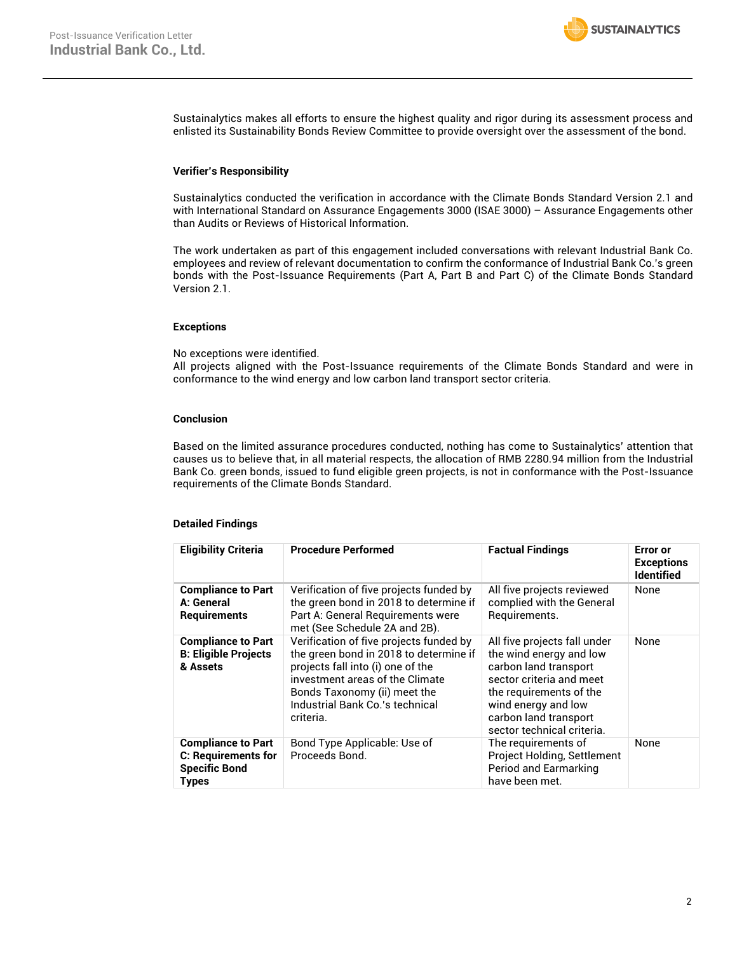

Sustainalytics makes all efforts to ensure the highest quality and rigor during its assessment process and enlisted its Sustainability Bonds Review Committee to provide oversight over the assessment of the bond.

#### **Verifier's Responsibility**

Sustainalytics conducted the verification in accordance with the Climate Bonds Standard Version 2.1 and with International Standard on Assurance Engagements 3000 (ISAE 3000) – Assurance Engagements other than Audits or Reviews of Historical Information.

The work undertaken as part of this engagement included conversations with relevant Industrial Bank Co. employees and review of relevant documentation to confirm the conformance of Industrial Bank Co.'s green bonds with the Post-Issuance Requirements (Part A, Part B and Part C) of the Climate Bonds Standard Version 2.1.

#### **Exceptions**

No exceptions were identified.

All projects aligned with the Post-Issuance requirements of the Climate Bonds Standard and were in conformance to the wind energy and low carbon land transport sector criteria.

#### **Conclusion**

Based on the limited assurance procedures conducted, nothing has come to Sustainalytics' attention that causes us to believe that, in all material respects, the allocation of RMB 2280.94 million from the Industrial Bank Co. green bonds, issued to fund eligible green projects, is not in conformance with the Post-Issuance requirements of the Climate Bonds Standard.

#### **Detailed Findings**

| <b>Eligibility Criteria</b>                                                                     | <b>Procedure Performed</b>                                                                                                                                                                                                                | <b>Factual Findings</b>                                                                                                                                                                                               | Error or<br><b>Exceptions</b><br><b>Identified</b> |
|-------------------------------------------------------------------------------------------------|-------------------------------------------------------------------------------------------------------------------------------------------------------------------------------------------------------------------------------------------|-----------------------------------------------------------------------------------------------------------------------------------------------------------------------------------------------------------------------|----------------------------------------------------|
| <b>Compliance to Part</b><br>A: General<br>Requirements                                         | Verification of five projects funded by<br>the green bond in 2018 to determine if<br>Part A: General Requirements were<br>met (See Schedule 2A and 2B).                                                                                   | All five projects reviewed<br>complied with the General<br>Requirements.                                                                                                                                              | None                                               |
| <b>Compliance to Part</b><br><b>B: Eligible Projects</b><br>& Assets                            | Verification of five projects funded by<br>the green bond in 2018 to determine if<br>projects fall into (i) one of the<br>investment areas of the Climate<br>Bonds Taxonomy (ii) meet the<br>Industrial Bank Co.'s technical<br>criteria. | All five projects fall under<br>the wind energy and low<br>carbon land transport<br>sector criteria and meet<br>the requirements of the<br>wind energy and low<br>carbon land transport<br>sector technical criteria. | None                                               |
| <b>Compliance to Part</b><br><b>C: Requirements for</b><br><b>Specific Bond</b><br><b>Types</b> | Bond Type Applicable: Use of<br>Proceeds Bond.                                                                                                                                                                                            | The requirements of<br>Project Holding, Settlement<br>Period and Earmarking<br>have been met.                                                                                                                         | None                                               |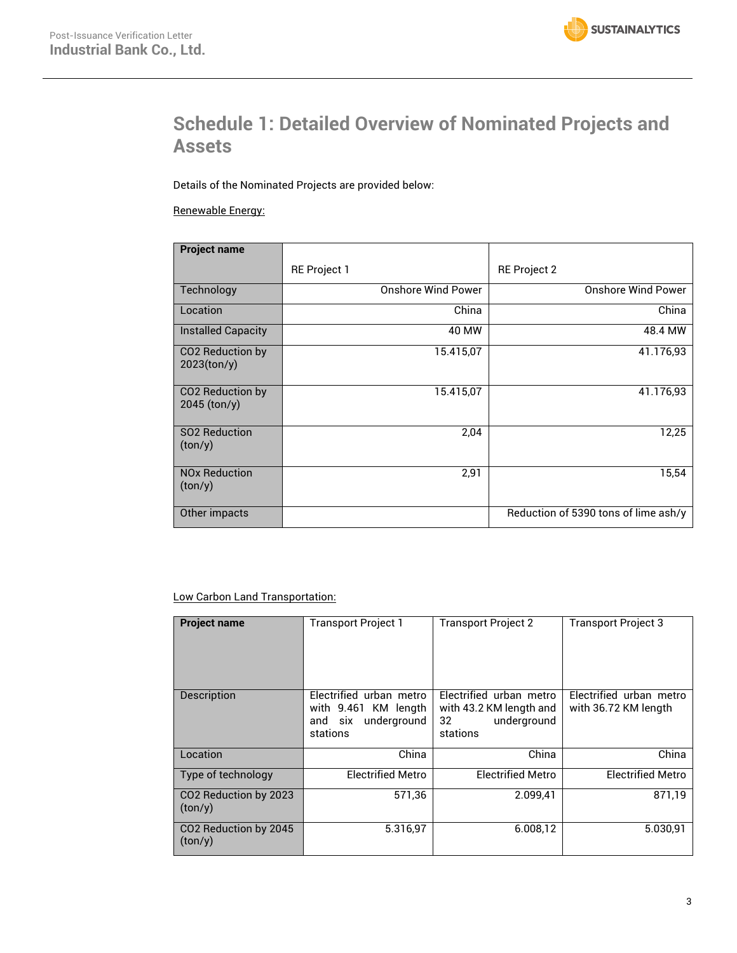# **Schedule 1: Detailed Overview of Nominated Projects and Assets**

Details of the Nominated Projects are provided below:

Renewable Energy:

| <b>Project name</b>                            |                           |                                      |
|------------------------------------------------|---------------------------|--------------------------------------|
|                                                | <b>RE Project 1</b>       | <b>RE Project 2</b>                  |
| Technology                                     | <b>Onshore Wind Power</b> | <b>Onshore Wind Power</b>            |
| Location                                       | China                     | China                                |
| <b>Installed Capacity</b>                      | 40 MW                     | 48.4 MW                              |
| CO <sub>2</sub> Reduction by<br>$2023$ (ton/y) | 15.415,07                 | 41.176,93                            |
| CO <sub>2</sub> Reduction by<br>$2045$ (ton/y) | 15.415,07                 | 41.176,93                            |
| SO2 Reduction<br>(ton/y)                       | 2,04                      | 12,25                                |
| <b>NO<sub>x</sub></b> Reduction<br>(ton/y)     | 2,91                      | 15,54                                |
| Other impacts                                  |                           | Reduction of 5390 tons of lime ash/y |

### Low Carbon Land Transportation:

| <b>Project name</b>                          | <b>Transport Project 1</b>                                                            | <b>Transport Project 2</b>                                                          | <b>Transport Project 3</b>                      |
|----------------------------------------------|---------------------------------------------------------------------------------------|-------------------------------------------------------------------------------------|-------------------------------------------------|
| Description                                  | Electrified urban metro<br>with 9.461 KM length<br>six underground<br>and<br>stations | Electrified urban metro<br>with 43.2 KM length and<br>underground<br>32<br>stations | Electrified urban metro<br>with 36.72 KM length |
| Location                                     | China                                                                                 | China                                                                               | China                                           |
| Type of technology                           | <b>Electrified Metro</b>                                                              | <b>Electrified Metro</b>                                                            | <b>Electrified Metro</b>                        |
| CO2 Reduction by 2023<br>(ton/y)             | 571,36                                                                                | 2.099,41                                                                            | 871,19                                          |
| CO <sub>2</sub> Reduction by 2045<br>(ton/y) | 5.316.97                                                                              | 6.008.12                                                                            | 5.030.91                                        |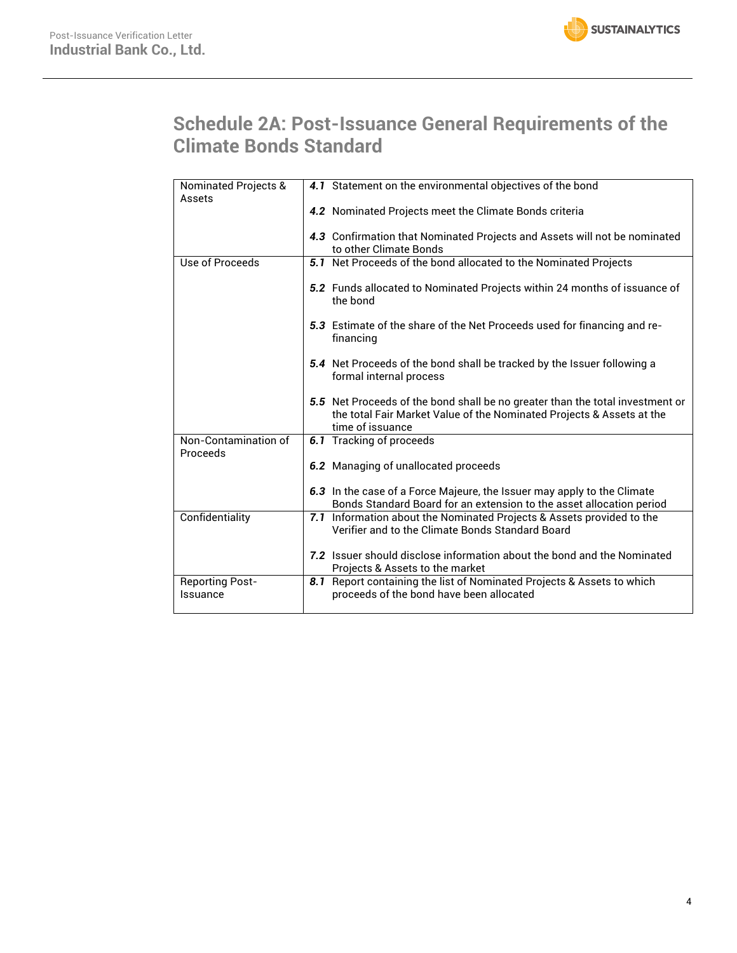# **Schedule 2A: Post-Issuance General Requirements of the Climate Bonds Standard**

| Nominated Projects &   | 4.1 Statement on the environmental objectives of the bond                                                    |
|------------------------|--------------------------------------------------------------------------------------------------------------|
| Assets                 |                                                                                                              |
|                        | 4.2 Nominated Projects meet the Climate Bonds criteria                                                       |
|                        |                                                                                                              |
|                        | 4.3 Confirmation that Nominated Projects and Assets will not be nominated                                    |
|                        | to other Climate Bonds                                                                                       |
| Use of Proceeds        | 5.1 Net Proceeds of the bond allocated to the Nominated Projects                                             |
|                        |                                                                                                              |
|                        | 5.2 Funds allocated to Nominated Projects within 24 months of issuance of                                    |
|                        | the bond                                                                                                     |
|                        |                                                                                                              |
|                        | 5.3 Estimate of the share of the Net Proceeds used for financing and re-<br>financing                        |
|                        |                                                                                                              |
|                        | 5.4 Net Proceeds of the bond shall be tracked by the Issuer following a                                      |
|                        | formal internal process                                                                                      |
|                        |                                                                                                              |
|                        | 5.5 Net Proceeds of the bond shall be no greater than the total investment or                                |
|                        | the total Fair Market Value of the Nominated Projects & Assets at the                                        |
|                        | time of issuance                                                                                             |
| Non-Contamination of   | 6.1 Tracking of proceeds                                                                                     |
| Proceeds               |                                                                                                              |
|                        | 6.2 Managing of unallocated proceeds                                                                         |
|                        |                                                                                                              |
|                        | 6.3 In the case of a Force Majeure, the Issuer may apply to the Climate                                      |
|                        | Bonds Standard Board for an extension to the asset allocation period                                         |
| Confidentiality        | Information about the Nominated Projects & Assets provided to the<br>7.1                                     |
|                        | Verifier and to the Climate Bonds Standard Board                                                             |
|                        | 7.2 Issuer should disclose information about the bond and the Nominated                                      |
|                        |                                                                                                              |
| <b>Reporting Post-</b> | Projects & Assets to the market<br>Report containing the list of Nominated Projects & Assets to which<br>8.1 |
| Issuance               | proceeds of the bond have been allocated                                                                     |
|                        |                                                                                                              |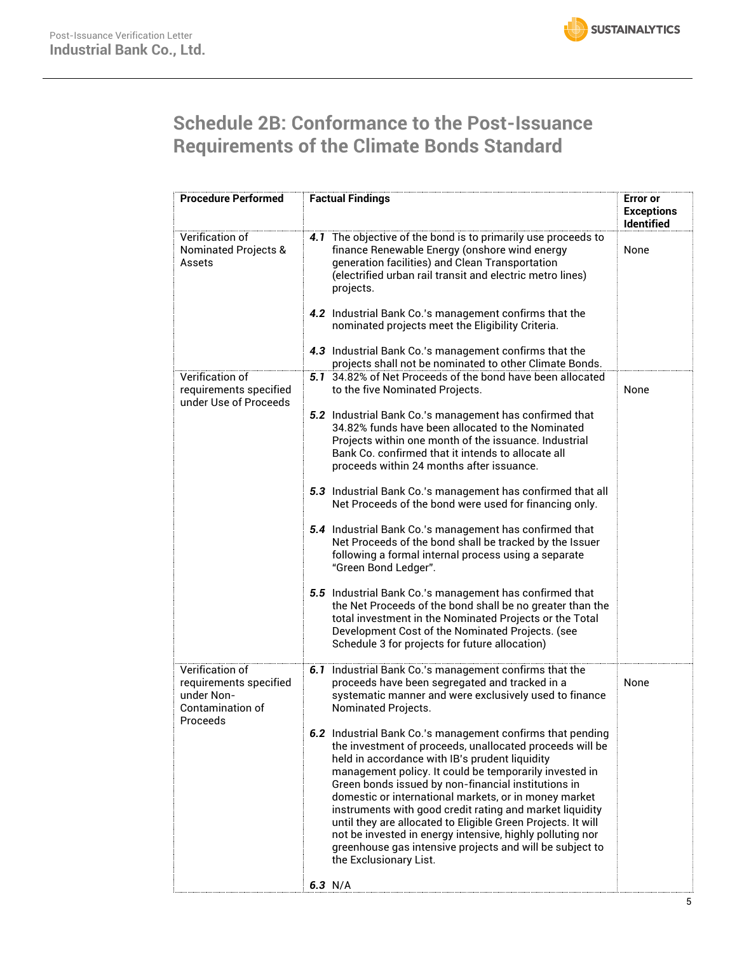

# **Schedule 2B: Conformance to the Post-Issuance Requirements of the Climate Bonds Standard**

| <b>Procedure Performed</b>                                                              | <b>Factual Findings</b>                                                                                                                                                                                                                                                                                                                                                                                                                                                                                                                                                                                                                        | <b>Error</b> or<br><b>Exceptions</b><br><b>Identified</b> |
|-----------------------------------------------------------------------------------------|------------------------------------------------------------------------------------------------------------------------------------------------------------------------------------------------------------------------------------------------------------------------------------------------------------------------------------------------------------------------------------------------------------------------------------------------------------------------------------------------------------------------------------------------------------------------------------------------------------------------------------------------|-----------------------------------------------------------|
| Verification of<br><b>Nominated Projects &amp;</b><br>Assets                            | 4.1 The objective of the bond is to primarily use proceeds to<br>finance Renewable Energy (onshore wind energy<br>generation facilities) and Clean Transportation<br>(electrified urban rail transit and electric metro lines)<br>projects.                                                                                                                                                                                                                                                                                                                                                                                                    | None                                                      |
|                                                                                         | 4.2 Industrial Bank Co.'s management confirms that the<br>nominated projects meet the Eligibility Criteria.                                                                                                                                                                                                                                                                                                                                                                                                                                                                                                                                    |                                                           |
|                                                                                         | 4.3 Industrial Bank Co.'s management confirms that the<br>projects shall not be nominated to other Climate Bonds.                                                                                                                                                                                                                                                                                                                                                                                                                                                                                                                              |                                                           |
| Verification of<br>requirements specified<br>under Use of Proceeds                      | 5.1 34.82% of Net Proceeds of the bond have been allocated<br>to the five Nominated Projects.                                                                                                                                                                                                                                                                                                                                                                                                                                                                                                                                                  | None                                                      |
|                                                                                         | 5.2 Industrial Bank Co.'s management has confirmed that<br>34.82% funds have been allocated to the Nominated<br>Projects within one month of the issuance. Industrial<br>Bank Co. confirmed that it intends to allocate all<br>proceeds within 24 months after issuance.                                                                                                                                                                                                                                                                                                                                                                       |                                                           |
|                                                                                         | 5.3 Industrial Bank Co.'s management has confirmed that all<br>Net Proceeds of the bond were used for financing only.                                                                                                                                                                                                                                                                                                                                                                                                                                                                                                                          |                                                           |
|                                                                                         | 5.4 Industrial Bank Co.'s management has confirmed that<br>Net Proceeds of the bond shall be tracked by the Issuer<br>following a formal internal process using a separate<br>"Green Bond Ledger".                                                                                                                                                                                                                                                                                                                                                                                                                                             |                                                           |
|                                                                                         | 5.5 Industrial Bank Co.'s management has confirmed that<br>the Net Proceeds of the bond shall be no greater than the<br>total investment in the Nominated Projects or the Total<br>Development Cost of the Nominated Projects. (see<br>Schedule 3 for projects for future allocation)                                                                                                                                                                                                                                                                                                                                                          |                                                           |
| Verification of<br>requirements specified<br>under Non-<br>Contamination of<br>Proceeds | 6.1 Industrial Bank Co.'s management confirms that the<br>proceeds have been segregated and tracked in a<br>systematic manner and were exclusively used to finance<br>Nominated Projects.                                                                                                                                                                                                                                                                                                                                                                                                                                                      | None                                                      |
|                                                                                         | 6.2 Industrial Bank Co.'s management confirms that pending<br>the investment of proceeds, unallocated proceeds will be<br>held in accordance with IB's prudent liquidity<br>management policy. It could be temporarily invested in<br>Green bonds issued by non-financial institutions in<br>domestic or international markets, or in money market<br>instruments with good credit rating and market liquidity<br>until they are allocated to Eligible Green Projects. It will<br>not be invested in energy intensive, highly polluting nor<br>greenhouse gas intensive projects and will be subject to<br>the Exclusionary List.<br>6.3 $N/A$ |                                                           |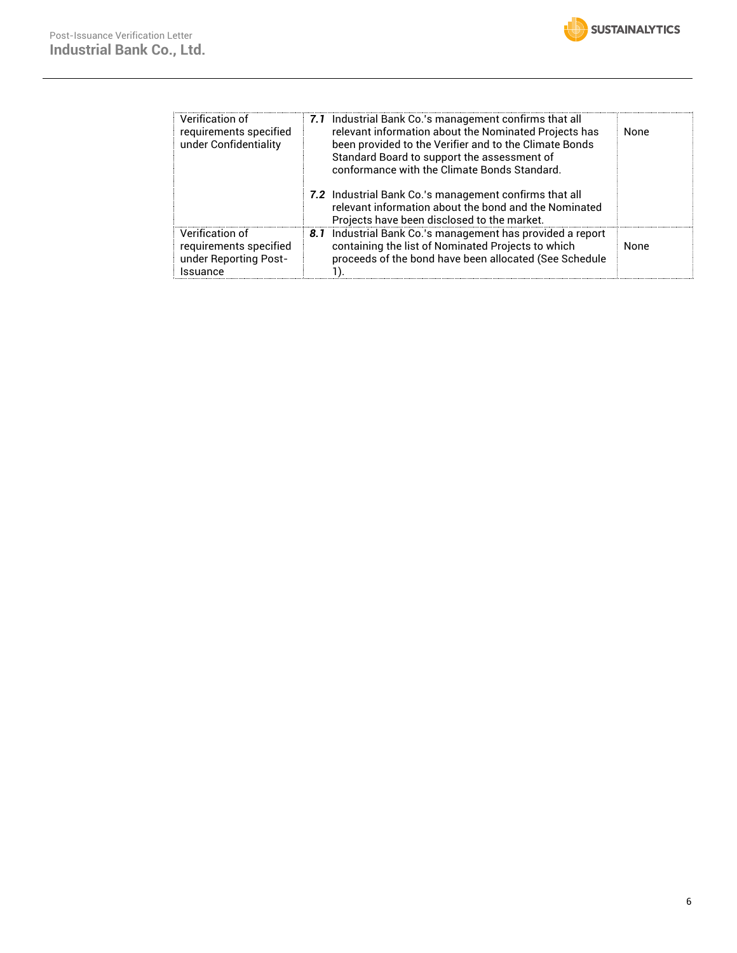

| Verification of<br>requirements specified<br>under Confidentiality             | 7.1 Industrial Bank Co.'s management confirms that all<br>relevant information about the Nominated Projects has<br>been provided to the Verifier and to the Climate Bonds<br>Standard Board to support the assessment of<br>conformance with the Climate Bonds Standard. | None |
|--------------------------------------------------------------------------------|--------------------------------------------------------------------------------------------------------------------------------------------------------------------------------------------------------------------------------------------------------------------------|------|
|                                                                                | 7.2 Industrial Bank Co.'s management confirms that all<br>relevant information about the bond and the Nominated<br>Projects have been disclosed to the market.                                                                                                           |      |
| Verification of<br>requirements specified<br>under Reporting Post-<br>Issuance | 8.1 Industrial Bank Co.'s management has provided a report<br>containing the list of Nominated Projects to which<br>proceeds of the bond have been allocated (See Schedule                                                                                               | None |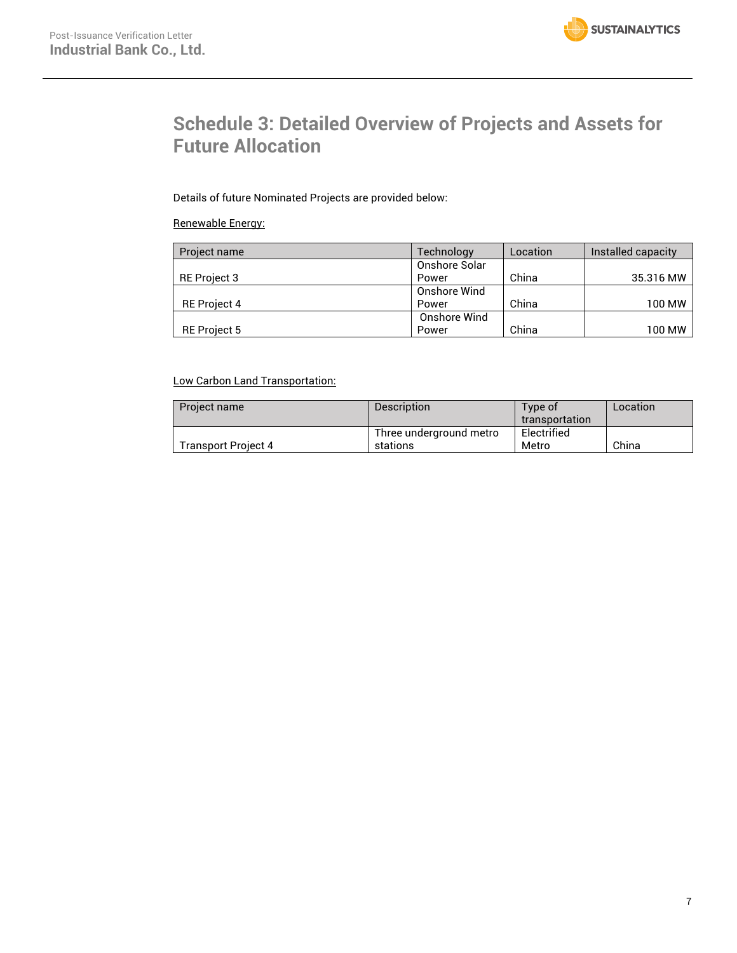

# **Schedule 3: Detailed Overview of Projects and Assets for Future Allocation**

Details of future Nominated Projects are provided below:

### Renewable Energy:

| Project name        | Technology    | Location | Installed capacity |
|---------------------|---------------|----------|--------------------|
|                     | Onshore Solar |          |                    |
| <b>RE</b> Project 3 | Power         | China    | 35.316 MW          |
|                     | Onshore Wind  |          |                    |
| <b>RE</b> Project 4 | Power         | China    | 100 MW             |
|                     | Onshore Wind  |          |                    |
| <b>RE</b> Project 5 | Power         | China    | 100 MW             |

### Low Carbon Land Transportation:

| Project name               | <b>Description</b>      | Type of        | Location |
|----------------------------|-------------------------|----------------|----------|
|                            |                         | transportation |          |
|                            | Three underground metro | Electrified    |          |
| <b>Transport Project 4</b> | stations                | Metro          | China    |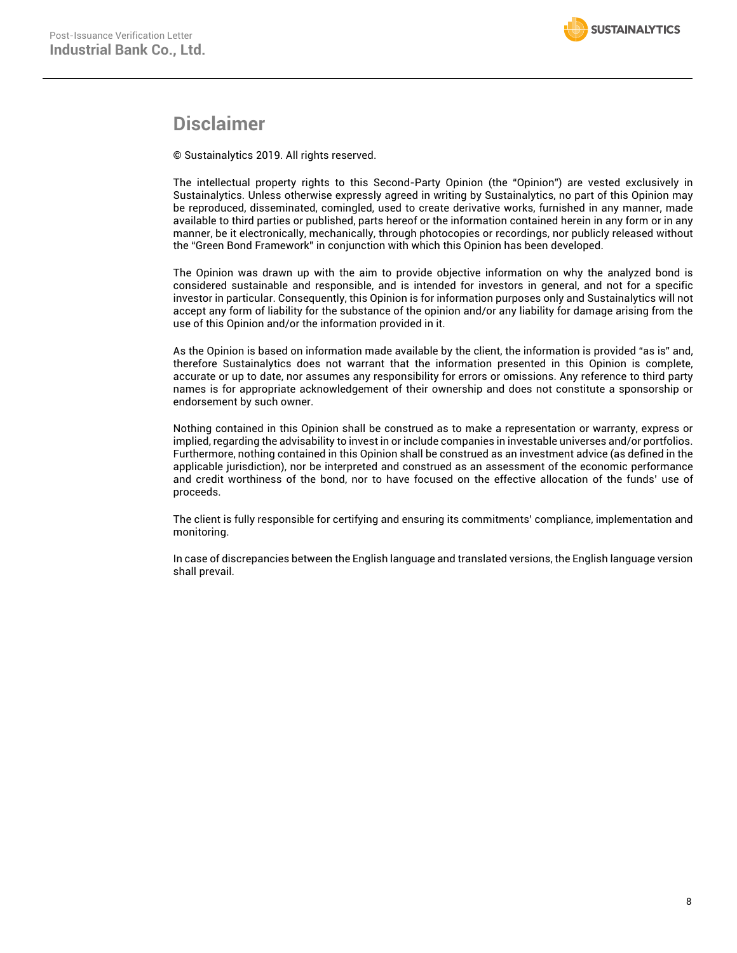## **Disclaimer**

© Sustainalytics 2019. All rights reserved.

The intellectual property rights to this Second-Party Opinion (the "Opinion") are vested exclusively in Sustainalytics. Unless otherwise expressly agreed in writing by Sustainalytics, no part of this Opinion may be reproduced, disseminated, comingled, used to create derivative works, furnished in any manner, made available to third parties or published, parts hereof or the information contained herein in any form or in any manner, be it electronically, mechanically, through photocopies or recordings, nor publicly released without the "Green Bond Framework" in conjunction with which this Opinion has been developed.

The Opinion was drawn up with the aim to provide objective information on why the analyzed bond is considered sustainable and responsible, and is intended for investors in general, and not for a specific investor in particular. Consequently, this Opinion is for information purposes only and Sustainalytics will not accept any form of liability for the substance of the opinion and/or any liability for damage arising from the use of this Opinion and/or the information provided in it.

As the Opinion is based on information made available by the client, the information is provided "as is" and, therefore Sustainalytics does not warrant that the information presented in this Opinion is complete, accurate or up to date, nor assumes any responsibility for errors or omissions. Any reference to third party names is for appropriate acknowledgement of their ownership and does not constitute a sponsorship or endorsement by such owner.

Nothing contained in this Opinion shall be construed as to make a representation or warranty, express or implied, regarding the advisability to invest in or include companies in investable universes and/or portfolios. Furthermore, nothing contained in this Opinion shall be construed as an investment advice (as defined in the applicable jurisdiction), nor be interpreted and construed as an assessment of the economic performance and credit worthiness of the bond, nor to have focused on the effective allocation of the funds' use of proceeds.

The client is fully responsible for certifying and ensuring its commitments' compliance, implementation and monitoring.

In case of discrepancies between the English language and translated versions, the English language version shall prevail.